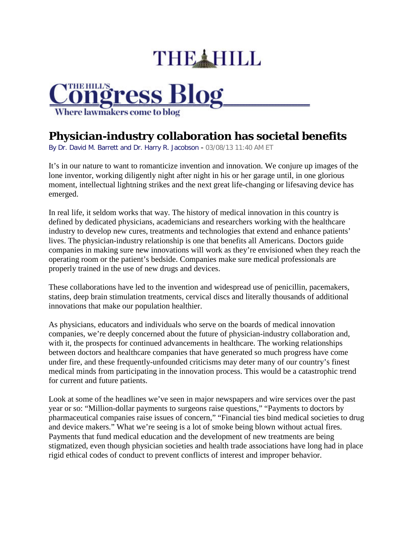## THE HILL



## **Physician-industry collaboration has societal benefits**

By Dr. David M. Barrett and Dr. Harry R. Jacobson - 03/08/13 11:40 AM ET

It's in our nature to want to romanticize invention and innovation. We conjure up images of the lone inventor, working diligently night after night in his or her garage until, in one glorious moment, intellectual lightning strikes and the next great life-changing or lifesaving device has emerged.

In real life, it seldom works that way. The history of medical innovation in this country is defined by dedicated physicians, academicians and researchers working with the healthcare industry to develop new cures, treatments and technologies that extend and enhance patients' lives. The physician-industry relationship is one that benefits all Americans. Doctors guide companies in making sure new innovations will work as they're envisioned when they reach the operating room or the patient's bedside. Companies make sure medical professionals are properly trained in the use of new drugs and devices.

These collaborations have led to the invention and widespread use of penicillin, pacemakers, statins, deep brain stimulation treatments, cervical discs and literally thousands of additional innovations that make our population healthier.

As physicians, educators and individuals who serve on the boards of medical innovation companies, we're deeply concerned about the future of physician-industry collaboration and, with it, the prospects for continued advancements in healthcare. The working relationships between doctors and healthcare companies that have generated so much progress have come under fire, and these frequently-unfounded criticisms may deter many of our country's finest medical minds from participating in the innovation process. This would be a catastrophic trend for current and future patients.

Look at some of the headlines we've seen in major newspapers and wire services over the past year or so: "Million-dollar payments to surgeons raise questions," "Payments to doctors by pharmaceutical companies raise issues of concern," "Financial ties bind medical societies to drug and device makers." What we're seeing is a lot of smoke being blown without actual fires. Payments that fund medical education and the development of new treatments are being stigmatized, even though physician societies and health trade associations have long had in place rigid ethical codes of conduct to prevent conflicts of interest and improper behavior.